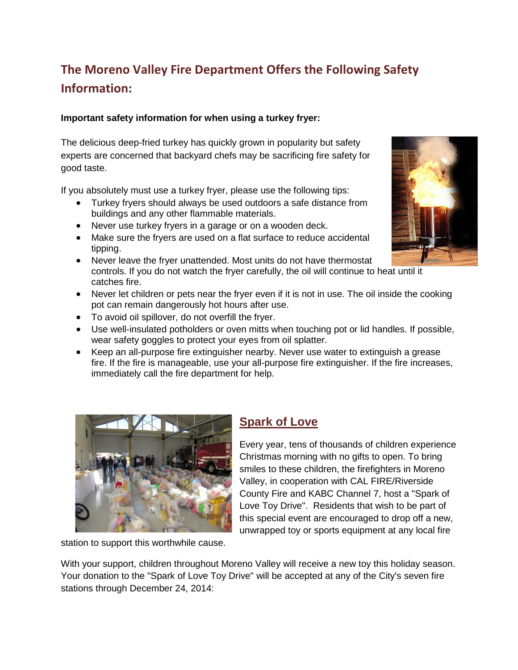# **The Moreno Valley Fire Department Offers the Following Safety Information:**

### **Important safety information for when using a turkey fryer:**

The delicious deep-fried turkey has quickly grown in popularity but safety experts are concerned that backyard chefs may be sacrificing fire safety for good taste.

If you absolutely must use a turkey fryer, please use the following tips:

- Turkey fryers should always be used outdoors a safe distance from buildings and any other flammable materials.
- Never use turkey fryers in a garage or on a wooden deck.
- Make sure the fryers are used on a flat surface to reduce accidental tipping.
- Never leave the fryer unattended. Most units do not have thermostat controls. If you do not watch the fryer carefully, the oil will continue to heat until it catches fire.
- Never let children or pets near the fryer even if it is not in use. The oil inside the cooking pot can remain dangerously hot hours after use.
- To avoid oil spillover, do not overfill the fryer.
- Use well-insulated potholders or oven mitts when touching pot or lid handles. If possible, wear safety goggles to protect your eyes from oil splatter.
- Keep an all-purpose fire extinguisher nearby. Never use water to extinguish a grease fire. If the fire is manageable, use your all-purpose fire extinguisher. If the fire increases, immediately call the fire department for help.



#### station to support this worthwhile cause.

### **Spark of Love**

Every year, tens of thousands of children experience Christmas morning with no gifts to open. To bring smiles to these children, the firefighters in Moreno Valley, in cooperation with CAL FIRE/Riverside County Fire and KABC Channel 7, host a "Spark of Love Toy Drive". Residents that wish to be part of this special event are encouraged to drop off a new, unwrapped toy or sports equipment at any local fire

With your support, children throughout Moreno Valley will receive a new toy this holiday season. Your donation to the "Spark of Love Toy Drive" will be accepted at any of the City's seven fire stations through December 24, 2014:

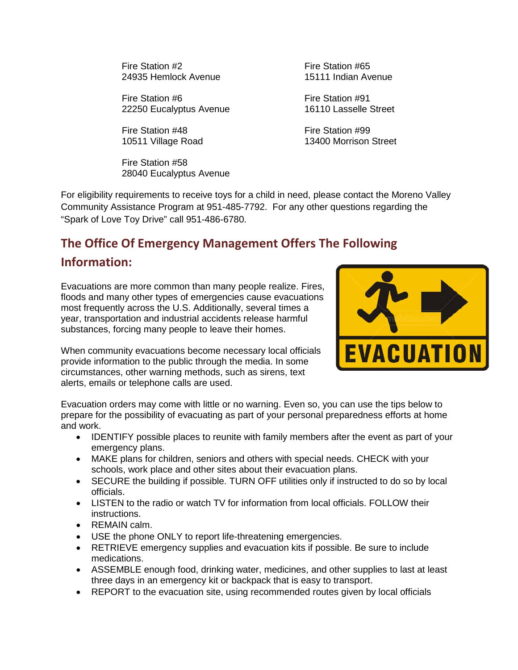Fire Station #2 Fire Station #65<br>24935 Hemlock Avenue 15111 Indian Avenue 24935 Hemlock Avenue

Fire Station #6 Fire Station #91 22250 Eucalyptus Avenue 16110 Lasselle Street

Fire Station #48 Fire Station #99

Fire Station #58 28040 Eucalyptus Avenue

10511 Village Road 13400 Morrison Street

For eligibility requirements to receive toys for a child in need, please contact the Moreno Valley Community Assistance Program at 951-485-7792. For any other questions regarding the "Spark of Love Toy Drive" call 951-486-6780.

# **The Office Of Emergency Management Offers The Following**

## **Information:**

Evacuations are more common than many people realize. Fires, floods and many other types of emergencies cause evacuations most frequently across the U.S. Additionally, several times a year, transportation and industrial accidents release harmful substances, forcing many people to leave their homes.

When community evacuations become necessary local officials provide information to the public through the media. In some circumstances, other warning methods, such as sirens, text alerts, emails or telephone calls are used.



Evacuation orders may come with little or no warning. Even so, you can use the tips below to prepare for the possibility of evacuating as part of your personal preparedness efforts at home and work.

- IDENTIFY possible places to reunite with family members after the event as part of your emergency plans.
- MAKE plans for children, seniors and others with special needs. CHECK with your schools, work place and other sites about their evacuation plans.
- SECURE the building if possible. TURN OFF utilities only if instructed to do so by local officials.
- LISTEN to the radio or watch TV for information from local officials. FOLLOW their instructions.
- REMAIN calm.
- USE the phone ONLY to report life-threatening emergencies.
- RETRIEVE emergency supplies and evacuation kits if possible. Be sure to include medications.
- ASSEMBLE enough food, drinking water, medicines, and other supplies to last at least three days in an emergency kit or backpack that is easy to transport.
- REPORT to the evacuation site, using recommended routes given by local officials